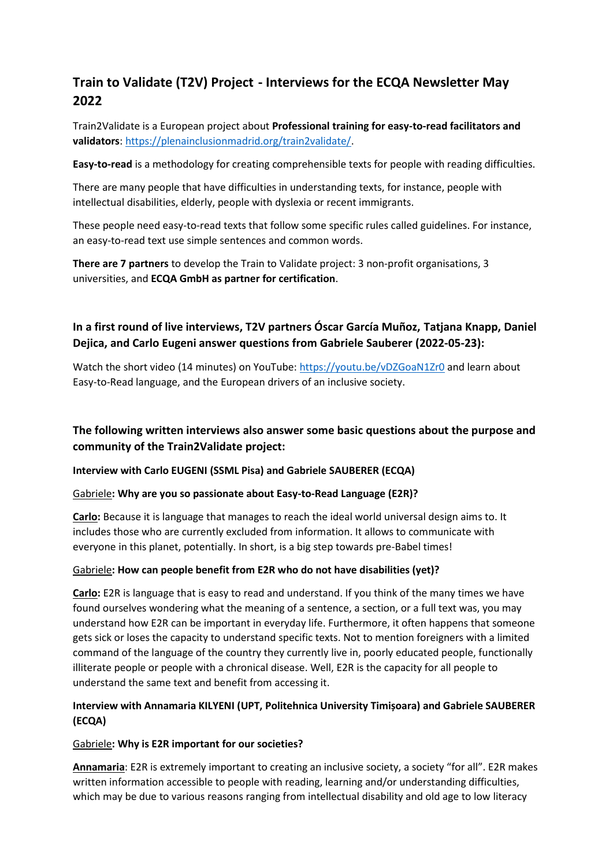# **Train to Validate (T2V) Project - Interviews for the ECQA Newsletter May 2022**

Train2Validate is a European project about **Professional training for easy-to-read facilitators and validators**[: https://plenainclusionmadrid.org/train2validate/.](https://plenainclusionmadrid.org/train2validate/)

**Easy-to-read** is a methodology for creating comprehensible texts for people with reading difficulties.

There are many people that have difficulties in understanding texts, for instance, people with intellectual disabilities, elderly, people with dyslexia or recent immigrants.

These people need easy-to-read texts that follow some specific rules called guidelines. For instance, an easy-to-read text use simple sentences and common words.

**There are 7 partners** to develop the Train to Validate project: 3 non-profit organisations, 3 universities, and **ECQA GmbH as partner for certification**.

# **In a first round of live interviews, T2V partners Óscar García Muñoz, Tatjana Knapp, Daniel Dejica, and Carlo Eugeni answer questions from Gabriele Sauberer (2022-05-23):**

Watch the short video (14 minutes) on YouTube:<https://youtu.be/vDZGoaN1Zr0> and learn about Easy-to-Read language, and the European drivers of an inclusive society.

## **The following written interviews also answer some basic questions about the purpose and community of the Train2Validate project:**

#### **Interview with Carlo EUGENI (SSML Pisa) and Gabriele SAUBERER (ECQA)**

#### Gabriele**: Why are you so passionate about Easy-to-Read Language (E2R)?**

**Carlo:** Because it is language that manages to reach the ideal world universal design aims to. It includes those who are currently excluded from information. It allows to communicate with everyone in this planet, potentially. In short, is a big step towards pre-Babel times!

#### Gabriele**: How can people benefit from E2R who do not have disabilities (yet)?**

**Carlo:** E2R is language that is easy to read and understand. If you think of the many times we have found ourselves wondering what the meaning of a sentence, a section, or a full text was, you may understand how E2R can be important in everyday life. Furthermore, it often happens that someone gets sick or loses the capacity to understand specific texts. Not to mention foreigners with a limited command of the language of the country they currently live in, poorly educated people, functionally illiterate people or people with a chronical disease. Well, E2R is the capacity for all people to understand the same text and benefit from accessing it.

## **Interview with Annamaria KILYENI (UPT, Politehnica University Timișoara) and Gabriele SAUBERER (ECQA)**

#### Gabriele**: Why is E2R important for our societies?**

**Annamaria**: E2R is extremely important to creating an inclusive society, a society "for all". E2R makes written information accessible to people with reading, learning and/or understanding difficulties, which may be due to various reasons ranging from intellectual disability and old age to low literacy